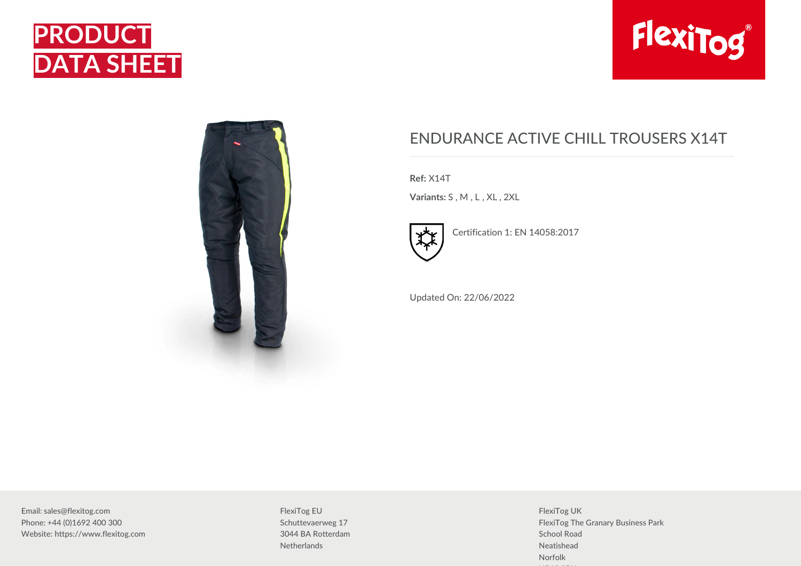





## ENDURANCE ACTIVE CHILL TROUSERS X14T

**Ref:** X14T

**Variants:** S , M , L , XL , 2XL



Certification 1: EN 14058:2017

Updated On: 22/06/2022

Email: sales@flexitog.com Phone: +44 (0)1692 400 300 Website: https://www.flexitog.com

FlexiTog EU Schuttevaerweg 17 3044 BA Rotterdam **Netherlands** 

FlexiTog UK FlexiTog The Granary Business Park School Road Neatishead Norfolk